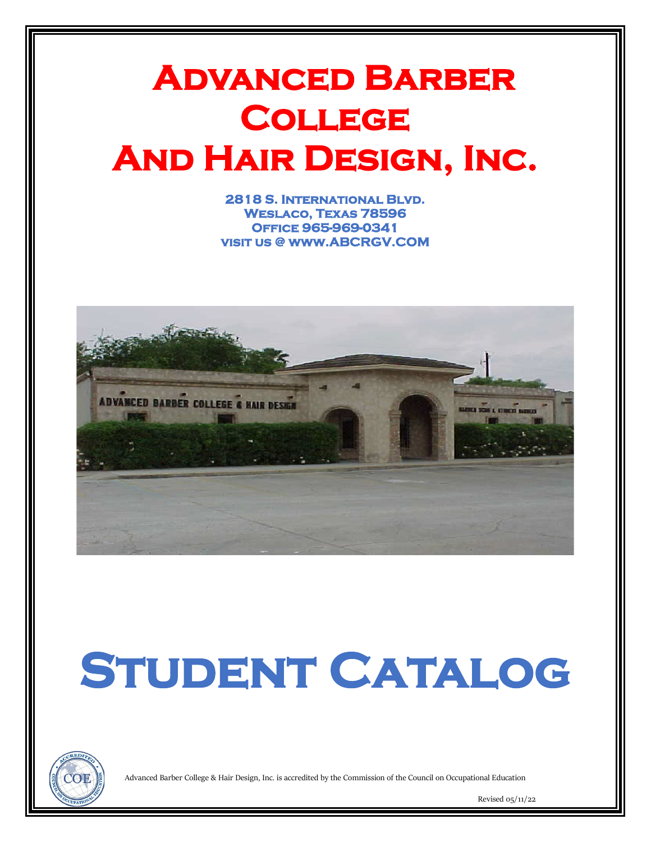## **Advanced Barber College And Hair Design, Inc.**

**2818 S. International Blvd. Weslaco, Texas 78596 Office 965-969-0341 visit us @ www.ABCRGV.COM** 



# STUDENT CATALOG



Advanced Barber College & Hair Design, Inc. is accredited by the Commission of the Council on Occupational Education

Revised 05/11/22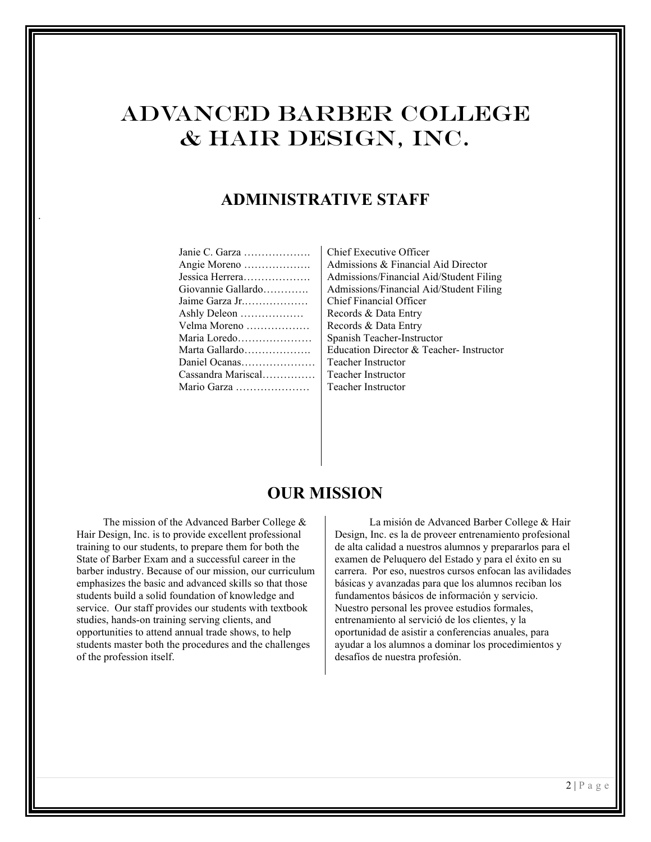## Advanced Barber College & Hair Design, Inc.

## **ADMINISTRATIVE STAFF**

| Janie C. Garza     |
|--------------------|
| Angie Moreno       |
| Jessica Herrera    |
| Giovannie Gallardo |
| Jaime Garza Jr     |
| Ashly Deleon       |
| Velma Moreno       |
| Maria Loredo       |
| Marta Gallardo     |
| Daniel Ocanas      |
| Cassandra Mariscal |
| Mario Garza        |
|                    |

.

Chief Executive Officer Admissions & Financial Aid Director Admissions/Financial Aid/Student Filing Admissions/Financial Aid/Student Filing Chief Financial Officer Records & Data Entry Records & Data Entry Spanish Teacher-Instructor Education Director & Teacher- Instructor Teacher Instructor Teacher Instructor Teacher Instructor

## **OUR MISSION**

 The mission of the Advanced Barber College & Hair Design, Inc. is to provide excellent professional training to our students, to prepare them for both the State of Barber Exam and a successful career in the barber industry. Because of our mission, our curriculum emphasizes the basic and advanced skills so that those students build a solid foundation of knowledge and service. Our staff provides our students with textbook studies, hands-on training serving clients, and opportunities to attend annual trade shows, to help students master both the procedures and the challenges of the profession itself.

 La misión de Advanced Barber College & Hair Design, Inc. es la de proveer entrenamiento profesional de alta calidad a nuestros alumnos y prepararlos para el examen de Peluquero del Estado y para el éxito en su carrera. Por eso, nuestros cursos enfocan las avilidades básicas y avanzadas para que los alumnos reciban los fundamentos básicos de información y servicio. Nuestro personal les provee estudios formales, entrenamiento al servició de los clientes, y la oportunidad de asistir a conferencias anuales, para ayudar a los alumnos a dominar los procedimientos y desafíos de nuestra profesión.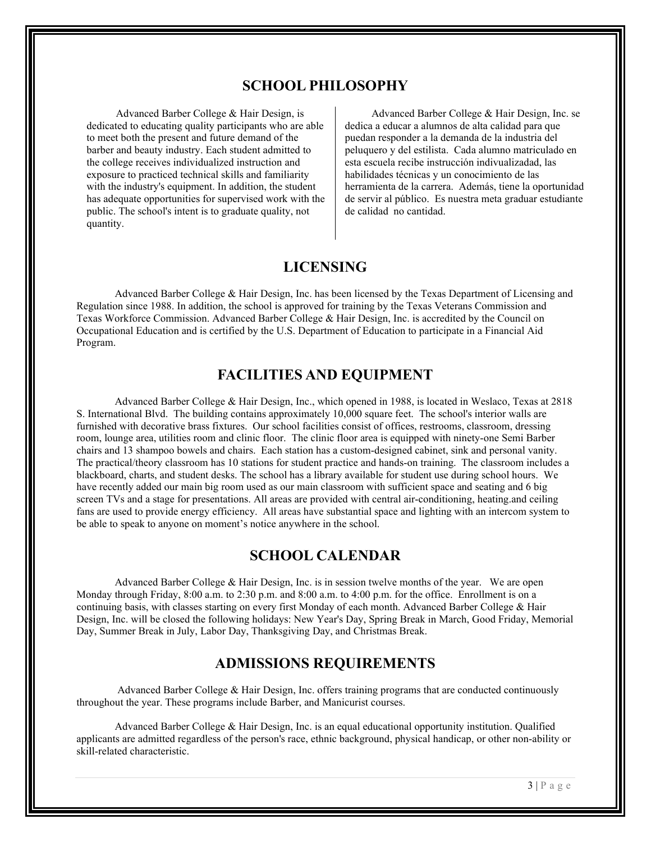#### **SCHOOL PHILOSOPHY**

 Advanced Barber College & Hair Design, is dedicated to educating quality participants who are able to meet both the present and future demand of the barber and beauty industry. Each student admitted to the college receives individualized instruction and exposure to practiced technical skills and familiarity with the industry's equipment. In addition, the student has adequate opportunities for supervised work with the public. The school's intent is to graduate quality, not quantity.

 Advanced Barber College & Hair Design, Inc. se dedica a educar a alumnos de alta calidad para que puedan responder a la demanda de la industria del peluquero y del estilista. Cada alumno matriculado en esta escuela recibe instrucción indivualizadad, las habilidades técnicas y un conocimiento de las herramienta de la carrera. Además, tiene la oportunidad de servir al público. Es nuestra meta graduar estudiante de calidad no cantidad.

## **LICENSING**

Advanced Barber College & Hair Design, Inc. has been licensed by the Texas Department of Licensing and Regulation since 1988. In addition, the school is approved for training by the Texas Veterans Commission and Texas Workforce Commission. Advanced Barber College & Hair Design, Inc. is accredited by the Council on Occupational Education and is certified by the U.S. Department of Education to participate in a Financial Aid Program.

#### **FACILITIES AND EQUIPMENT**

Advanced Barber College & Hair Design, Inc., which opened in 1988, is located in Weslaco, Texas at 2818 S. International Blvd. The building contains approximately 10,000 square feet. The school's interior walls are furnished with decorative brass fixtures. Our school facilities consist of offices, restrooms, classroom, dressing room, lounge area, utilities room and clinic floor. The clinic floor area is equipped with ninety-one Semi Barber chairs and 13 shampoo bowels and chairs. Each station has a custom-designed cabinet, sink and personal vanity. The practical/theory classroom has 10 stations for student practice and hands-on training. The classroom includes a blackboard, charts, and student desks. The school has a library available for student use during school hours. We have recently added our main big room used as our main classroom with sufficient space and seating and 6 big screen TVs and a stage for presentations. All areas are provided with central air-conditioning, heating and ceiling fans are used to provide energy efficiency. All areas have substantial space and lighting with an intercom system to be able to speak to anyone on moment's notice anywhere in the school.

#### **SCHOOL CALENDAR**

Advanced Barber College & Hair Design, Inc. is in session twelve months of the year. We are open Monday through Friday, 8:00 a.m. to 2:30 p.m. and 8:00 a.m. to 4:00 p.m. for the office. Enrollment is on a continuing basis, with classes starting on every first Monday of each month. Advanced Barber College & Hair Design, Inc. will be closed the following holidays: New Year's Day, Spring Break in March, Good Friday, Memorial Day, Summer Break in July, Labor Day, Thanksgiving Day, and Christmas Break.

#### **ADMISSIONS REQUIREMENTS**

 Advanced Barber College & Hair Design, Inc. offers training programs that are conducted continuously throughout the year. These programs include Barber, and Manicurist courses.

Advanced Barber College & Hair Design, Inc. is an equal educational opportunity institution. Qualified applicants are admitted regardless of the person's race, ethnic background, physical handicap, or other non-ability or skill-related characteristic.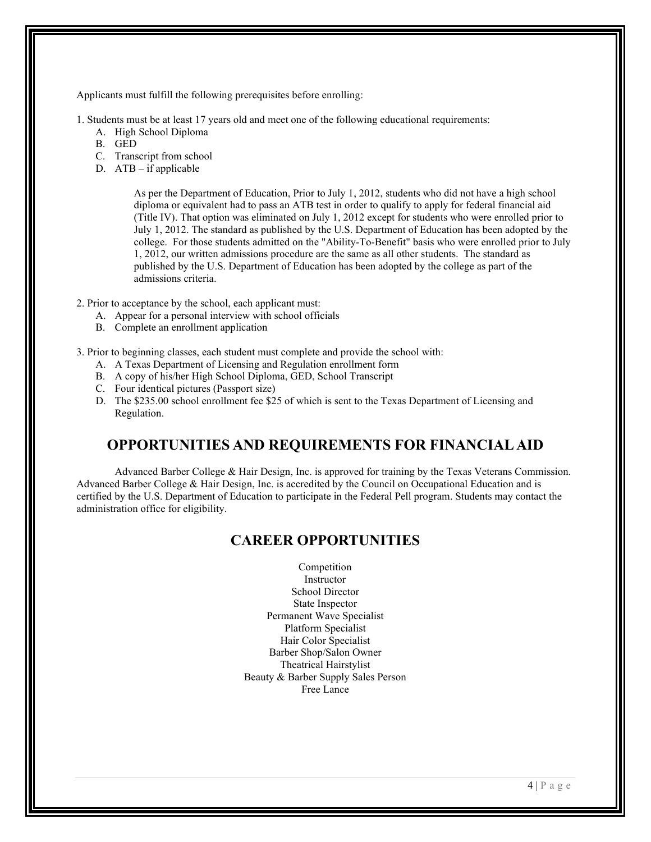Applicants must fulfill the following prerequisites before enrolling:

1. Students must be at least 17 years old and meet one of the following educational requirements:

- A. High School Diploma
- B. GED
- C. Transcript from school
- D. ATB if applicable

As per the Department of Education, Prior to July 1, 2012, students who did not have a high school diploma or equivalent had to pass an ATB test in order to qualify to apply for federal financial aid (Title IV). That option was eliminated on July 1, 2012 except for students who were enrolled prior to July 1, 2012. The standard as published by the U.S. Department of Education has been adopted by the college. For those students admitted on the "Ability-To-Benefit" basis who were enrolled prior to July 1, 2012, our written admissions procedure are the same as all other students. The standard as published by the U.S. Department of Education has been adopted by the college as part of the admissions criteria.

2. Prior to acceptance by the school, each applicant must:

- A. Appear for a personal interview with school officials
- B. Complete an enrollment application

3. Prior to beginning classes, each student must complete and provide the school with:

- A. A Texas Department of Licensing and Regulation enrollment form
- B. A copy of his/her High School Diploma, GED, School Transcript
- C. Four identical pictures (Passport size)
- D. The \$235.00 school enrollment fee \$25 of which is sent to the Texas Department of Licensing and Regulation.

#### **OPPORTUNITIES AND REQUIREMENTS FOR FINANCIAL AID**

Advanced Barber College & Hair Design, Inc. is approved for training by the Texas Veterans Commission. Advanced Barber College & Hair Design, Inc. is accredited by the Council on Occupational Education and is certified by the U.S. Department of Education to participate in the Federal Pell program. Students may contact the administration office for eligibility.

#### **CAREER OPPORTUNITIES**

Competition Instructor School Director State Inspector Permanent Wave Specialist Platform Specialist Hair Color Specialist Barber Shop/Salon Owner Theatrical Hairstylist Beauty & Barber Supply Sales Person Free Lance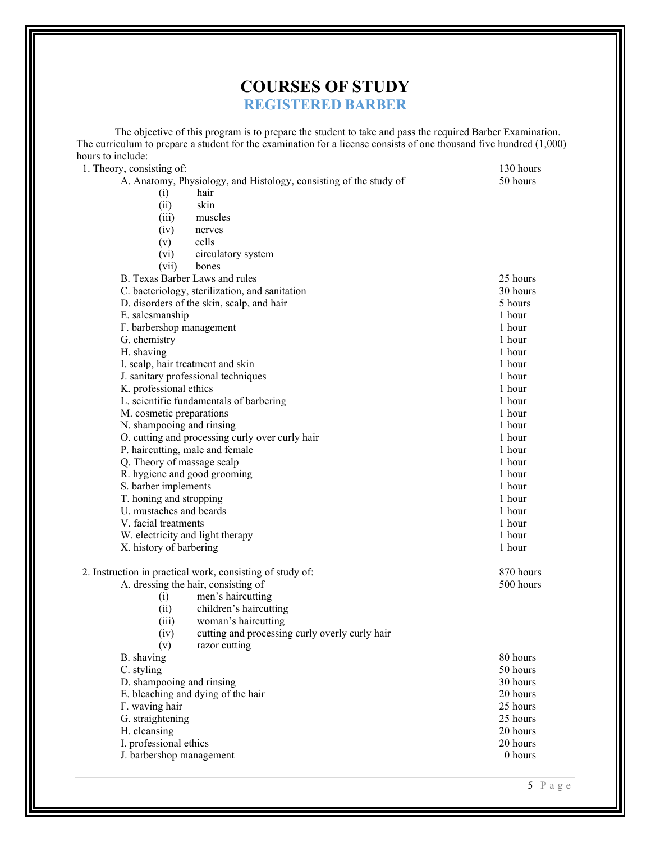## **COURSES OF STUDY REGISTERED BARBER**

The objective of this program is to prepare the student to take and pass the required Barber Examination. The curriculum to prepare a student for the examination for a license consists of one thousand five hundred (1,000) hours to include:

1. Theory, consisting of: 130 hours<br>A. Anatomy, Physiology, and Histology, consisting of the study of 50 hours 50 hours A. Anatomy, Physiology, and Histology, consisting of the study of

| A. Anatomy, Physiology, and Histology, consisting of the study of | ло пошв   |
|-------------------------------------------------------------------|-----------|
| (i)<br>hair                                                       |           |
| skin<br>(ii)                                                      |           |
| muscles<br>(iii)                                                  |           |
|                                                                   |           |
| (iv)<br>nerves                                                    |           |
| (v)<br>cells                                                      |           |
| $(v_i)$<br>circulatory system                                     |           |
| (vii)<br>bones                                                    |           |
| B. Texas Barber Laws and rules                                    | 25 hours  |
|                                                                   |           |
| C. bacteriology, sterilization, and sanitation                    | 30 hours  |
| D. disorders of the skin, scalp, and hair                         | 5 hours   |
| E. salesmanship                                                   | 1 hour    |
| F. barbershop management                                          | 1 hour    |
| G. chemistry                                                      | 1 hour    |
| H. shaving                                                        | 1 hour    |
|                                                                   | 1 hour    |
| I. scalp, hair treatment and skin                                 |           |
| J. sanitary professional techniques                               | 1 hour    |
| K. professional ethics                                            | 1 hour    |
| L. scientific fundamentals of barbering                           | 1 hour    |
| M. cosmetic preparations                                          | 1 hour    |
| N. shampooing and rinsing                                         | 1 hour    |
| O. cutting and processing curly over curly hair                   | 1 hour    |
|                                                                   |           |
| P. haircutting, male and female                                   | 1 hour    |
| Q. Theory of massage scalp                                        | 1 hour    |
| R. hygiene and good grooming                                      | 1 hour    |
| S. barber implements                                              | 1 hour    |
| T. honing and stropping                                           | 1 hour    |
| U. mustaches and beards                                           | 1 hour    |
| V. facial treatments                                              | 1 hour    |
|                                                                   |           |
| W. electricity and light therapy                                  | 1 hour    |
| X. history of barbering                                           | 1 hour    |
| 2. Instruction in practical work, consisting of study of:         | 870 hours |
| A. dressing the hair, consisting of                               | 500 hours |
| men's haircutting<br>(i)                                          |           |
| (ii)<br>children's haircutting                                    |           |
|                                                                   |           |
| woman's haircutting<br>(iii)                                      |           |
| cutting and processing curly overly curly hair<br>(iv)            |           |
| razor cutting<br>(v)                                              |           |
| B. shaving                                                        | 80 hours  |
| C. styling                                                        | 50 hours  |
| D. shampooing and rinsing                                         | 30 hours  |
|                                                                   |           |
| E. bleaching and dying of the hair                                | 20 hours  |
| F. waving hair                                                    | 25 hours  |
| G. straightening                                                  | 25 hours  |
| H. cleansing                                                      | 20 hours  |
| I. professional ethics                                            | 20 hours  |
| J. barbershop management                                          | $0$ hours |
|                                                                   |           |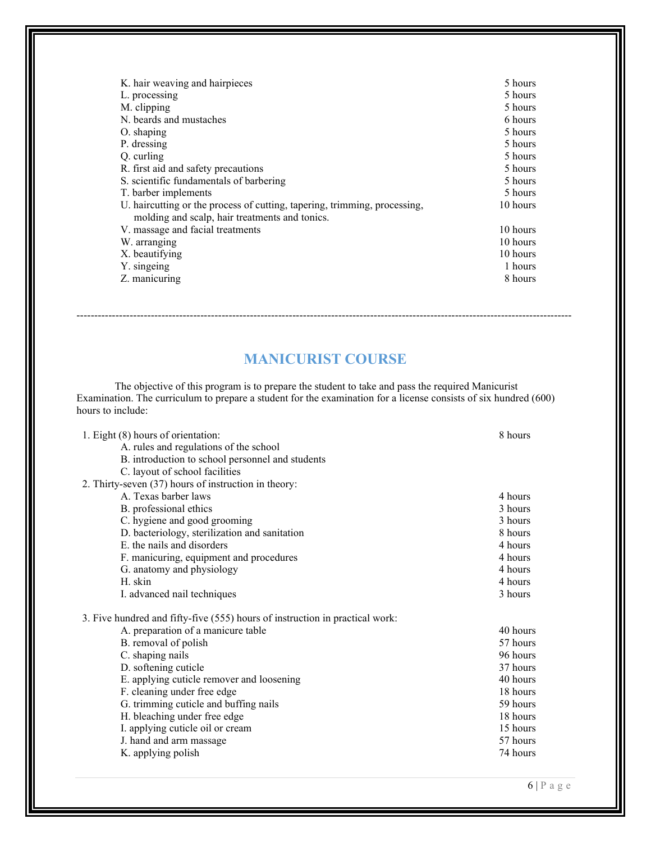| K. hair weaving and hairpieces                                                                                              | 5 hours  |
|-----------------------------------------------------------------------------------------------------------------------------|----------|
| L. processing                                                                                                               | 5 hours  |
| M. clipping                                                                                                                 | 5 hours  |
| N. beards and mustaches                                                                                                     | 6 hours  |
| O. shaping                                                                                                                  | 5 hours  |
| P. dressing                                                                                                                 | 5 hours  |
| Q. curling                                                                                                                  | 5 hours  |
| R. first aid and safety precautions                                                                                         | 5 hours  |
| S. scientific fundamentals of barbering                                                                                     | 5 hours  |
| T. barber implements                                                                                                        | 5 hours  |
| U. haircutting or the process of cutting, tapering, trimming, processing,<br>molding and scalp, hair treatments and tonics. | 10 hours |
| V. massage and facial treatments                                                                                            | 10 hours |
| W. arranging                                                                                                                | 10 hours |
| X. beautifying                                                                                                              | 10 hours |
| Y. singeing                                                                                                                 | 1 hours  |
| Z. manicuring                                                                                                               | 8 hours  |

## **MANICURIST COURSE**

--------------------------------------------------------------------------------------------------------------------------------------------

The objective of this program is to prepare the student to take and pass the required Manicurist Examination. The curriculum to prepare a student for the examination for a license consists of six hundred (600) hours to include:

| 1. Eight (8) hours of orientation:                                           | 8 hours  |
|------------------------------------------------------------------------------|----------|
| A. rules and regulations of the school                                       |          |
| B. introduction to school personnel and students                             |          |
| C. layout of school facilities                                               |          |
| 2. Thirty-seven (37) hours of instruction in theory:                         |          |
| A. Texas barber laws                                                         | 4 hours  |
| B. professional ethics                                                       | 3 hours  |
| C. hygiene and good grooming                                                 | 3 hours  |
| D. bacteriology, sterilization and sanitation                                | 8 hours  |
| E. the nails and disorders                                                   | 4 hours  |
| F. manicuring, equipment and procedures                                      | 4 hours  |
| G. anatomy and physiology                                                    | 4 hours  |
| H. skin                                                                      | 4 hours  |
| I. advanced nail techniques                                                  | 3 hours  |
| 3. Five hundred and fifty-five (555) hours of instruction in practical work: |          |
| A. preparation of a manicure table                                           | 40 hours |
| B. removal of polish                                                         | 57 hours |
| C. shaping nails                                                             | 96 hours |
| D. softening cuticle                                                         | 37 hours |
| E. applying cuticle remover and loosening                                    | 40 hours |
| F. cleaning under free edge                                                  | 18 hours |
| G. trimming cuticle and buffing nails                                        | 59 hours |
| H. bleaching under free edge                                                 | 18 hours |
| I. applying cuticle oil or cream                                             | 15 hours |
| J. hand and arm massage                                                      | 57 hours |
| K. applying polish                                                           | 74 hours |
|                                                                              |          |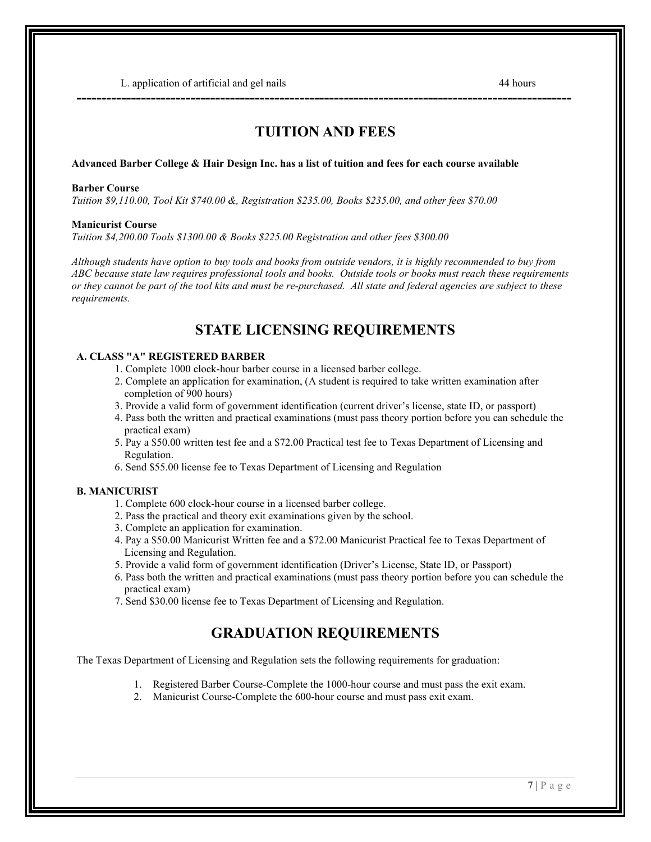L. application of artificial and gel nails 44 hours 44 hours

## **TUITION AND FEES**

**----------------------------------------------------------------------------------------------------**

#### **Advanced Barber College & Hair Design Inc. has a list of tuition and fees for each course available**

#### **Barber Course**

*Tuition \$9,110.00, Tool Kit \$740.00 &, Registration \$235.00, Books \$235.00, and other fees \$70.00*

#### **Manicurist Course**

*Tuition \$4,200.00 Tools \$1300.00 & Books \$225.00 Registration and other fees \$300.00*

*Although students have option to buy tools and books from outside vendors, it is highly recommended to buy from ABC because state law requires professional tools and books. Outside tools or books must reach these requirements or they cannot be part of the tool kits and must be re-purchased. All state and federal agencies are subject to these requirements.*

## **STATE LICENSING REQUIREMENTS**

#### **A. CLASS "A" REGISTERED BARBER**

- 1. Complete 1000 clock-hour barber course in a licensed barber college.
- 2. Complete an application for examination, (A student is required to take written examination after completion of 900 hours)
- 3. Provide a valid form of government identification (current driver's license, state ID, or passport)
- 4. Pass both the written and practical examinations (must pass theory portion before you can schedule the practical exam)
- 5. Pay a \$50.00 written test fee and a \$72.00 Practical test fee to Texas Department of Licensing and Regulation.
- 6. Send \$55.00 license fee to Texas Department of Licensing and Regulation

#### **B. MANICURIST**

- 1. Complete 600 clock-hour course in a licensed barber college.
- 2. Pass the practical and theory exit examinations given by the school.
- 3. Complete an application for examination.
- 4. Pay a \$50.00 Manicurist Written fee and a \$72.00 Manicurist Practical fee to Texas Department of Licensing and Regulation.
- 5. Provide a valid form of government identification (Driver's License, State ID, or Passport)
- 6. Pass both the written and practical examinations (must pass theory portion before you can schedule the practical exam)
- 7. Send \$30.00 license fee to Texas Department of Licensing and Regulation.

## **GRADUATION REQUIREMENTS**

The Texas Department of Licensing and Regulation sets the following requirements for graduation:

- 1. Registered Barber Course-Complete the 1000-hour course and must pass the exit exam.
- 2. Manicurist Course-Complete the 600-hour course and must pass exit exam.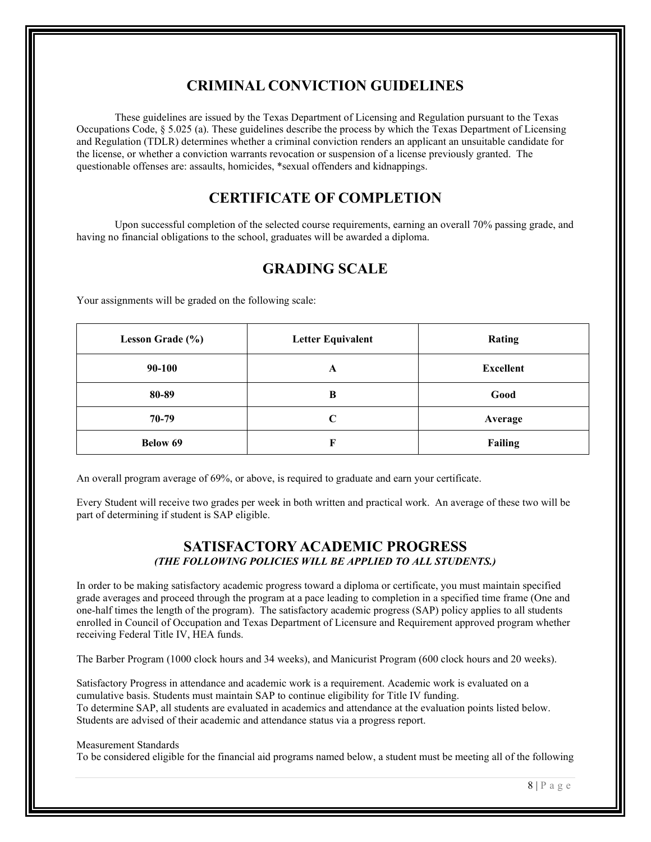## **CRIMINAL CONVICTION GUIDELINES**

These guidelines are issued by the Texas Department of Licensing and Regulation pursuant to the Texas Occupations Code, § 5.025 (a). These guidelines describe the process by which the Texas Department of Licensing and Regulation (TDLR) determines whether a criminal conviction renders an applicant an unsuitable candidate for the license, or whether a conviction warrants revocation or suspension of a license previously granted. The questionable offenses are: assaults, homicides, \*sexual offenders and kidnappings.

## **CERTIFICATE OF COMPLETION**

Upon successful completion of the selected course requirements, earning an overall 70% passing grade, and having no financial obligations to the school, graduates will be awarded a diploma.

## **GRADING SCALE**

| Lesson Grade (%) | <b>Letter Equivalent</b> | <b>Rating</b>    |
|------------------|--------------------------|------------------|
| 90-100           | A                        | <b>Excellent</b> |
| 80-89            | B                        | Good             |
| 70-79            | C                        | Average          |
| <b>Below 69</b>  | F                        | <b>Failing</b>   |

Your assignments will be graded on the following scale:

An overall program average of 69%, or above, is required to graduate and earn your certificate.

Every Student will receive two grades per week in both written and practical work. An average of these two will be part of determining if student is SAP eligible.

#### **SATISFACTORY ACADEMIC PROGRESS** *(THE FOLLOWING POLICIES WILL BE APPLIED TO ALL STUDENTS.)*

In order to be making satisfactory academic progress toward a diploma or certificate, you must maintain specified grade averages and proceed through the program at a pace leading to completion in a specified time frame (One and one-half times the length of the program). The satisfactory academic progress (SAP) policy applies to all students enrolled in Council of Occupation and Texas Department of Licensure and Requirement approved program whether receiving Federal Title IV, HEA funds.

The Barber Program (1000 clock hours and 34 weeks), and Manicurist Program (600 clock hours and 20 weeks).

Satisfactory Progress in attendance and academic work is a requirement. Academic work is evaluated on a cumulative basis. Students must maintain SAP to continue eligibility for Title IV funding. To determine SAP, all students are evaluated in academics and attendance at the evaluation points listed below. Students are advised of their academic and attendance status via a progress report.

#### Measurement Standards

To be considered eligible for the financial aid programs named below, a student must be meeting all of the following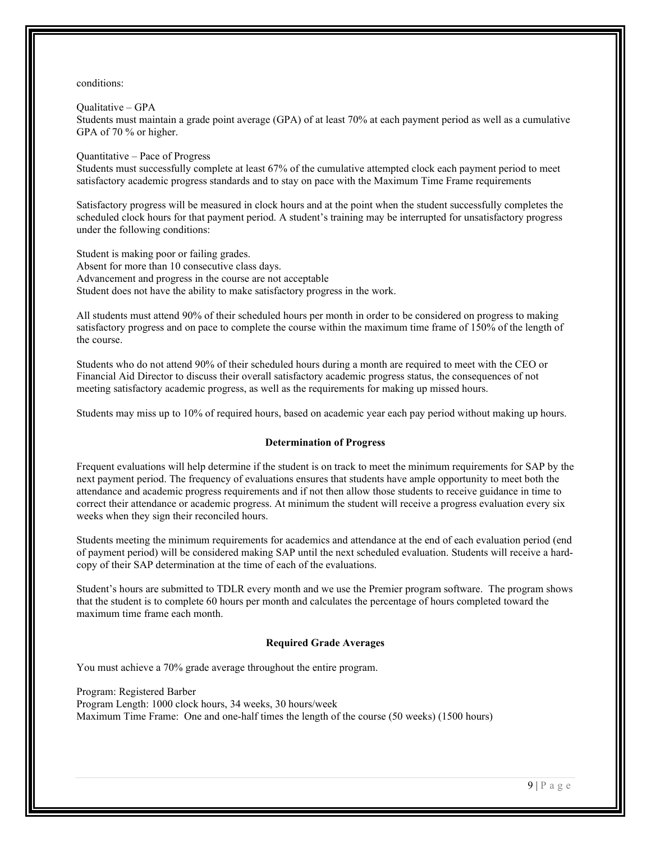#### conditions:

Qualitative – GPA Students must maintain a grade point average (GPA) of at least 70% at each payment period as well as a cumulative GPA of 70 % or higher.

Quantitative – Pace of Progress

Students must successfully complete at least 67% of the cumulative attempted clock each payment period to meet satisfactory academic progress standards and to stay on pace with the Maximum Time Frame requirements

Satisfactory progress will be measured in clock hours and at the point when the student successfully completes the scheduled clock hours for that payment period. A student's training may be interrupted for unsatisfactory progress under the following conditions:

Student is making poor or failing grades. Absent for more than 10 consecutive class days. Advancement and progress in the course are not acceptable Student does not have the ability to make satisfactory progress in the work.

All students must attend 90% of their scheduled hours per month in order to be considered on progress to making satisfactory progress and on pace to complete the course within the maximum time frame of 150% of the length of the course.

Students who do not attend 90% of their scheduled hours during a month are required to meet with the CEO or Financial Aid Director to discuss their overall satisfactory academic progress status, the consequences of not meeting satisfactory academic progress, as well as the requirements for making up missed hours.

Students may miss up to 10% of required hours, based on academic year each pay period without making up hours.

#### **Determination of Progress**

Frequent evaluations will help determine if the student is on track to meet the minimum requirements for SAP by the next payment period. The frequency of evaluations ensures that students have ample opportunity to meet both the attendance and academic progress requirements and if not then allow those students to receive guidance in time to correct their attendance or academic progress. At minimum the student will receive a progress evaluation every six weeks when they sign their reconciled hours.

Students meeting the minimum requirements for academics and attendance at the end of each evaluation period (end of payment period) will be considered making SAP until the next scheduled evaluation. Students will receive a hardcopy of their SAP determination at the time of each of the evaluations.

Student's hours are submitted to TDLR every month and we use the Premier program software. The program shows that the student is to complete 60 hours per month and calculates the percentage of hours completed toward the maximum time frame each month.

#### **Required Grade Averages**

You must achieve a 70% grade average throughout the entire program.

Program: Registered Barber

Program Length: 1000 clock hours, 34 weeks, 30 hours/week

Maximum Time Frame: One and one-half times the length of the course (50 weeks) (1500 hours)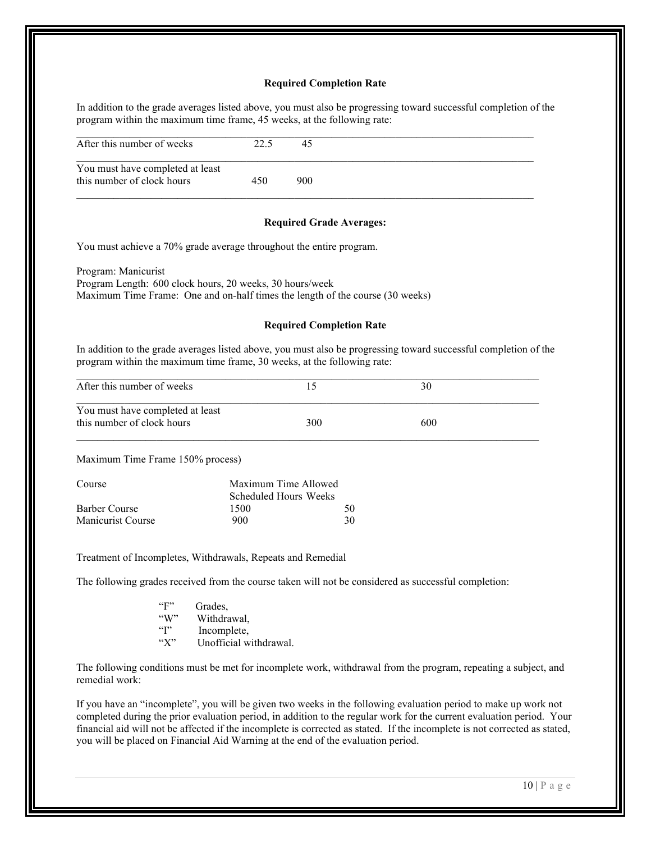#### **Required Completion Rate**

In addition to the grade averages listed above, you must also be progressing toward successful completion of the program within the maximum time frame, 45 weeks, at the following rate:

#### **Required Grade Averages:**

You must achieve a 70% grade average throughout the entire program.

Program: Manicurist Program Length: 600 clock hours, 20 weeks, 30 hours/week Maximum Time Frame: One and on-half times the length of the course (30 weeks)

#### **Required Completion Rate**

In addition to the grade averages listed above, you must also be progressing toward successful completion of the program within the maximum time frame, 30 weeks, at the following rate:

| After this number of weeks                                     |     |     |  |
|----------------------------------------------------------------|-----|-----|--|
| You must have completed at least<br>this number of clock hours | 300 | 600 |  |

Maximum Time Frame 150% process)

| Course            | Maximum Time Allowed  |    |
|-------------------|-----------------------|----|
|                   | Scheduled Hours Weeks |    |
| Barber Course     | 1500                  | 50 |
| Manicurist Course | 900                   | 30 |

Treatment of Incompletes, Withdrawals, Repeats and Remedial

The following grades received from the course taken will not be considered as successful completion:

| $\mathfrak{c}_{\mathbf{F}}$ | Grades,                |
|-----------------------------|------------------------|
| $\mathcal{C}(X)$            | Withdrawal,            |
| $\mathfrak{c}\mathfrak{c}$  | Incomplete,            |
| $\mathfrak{c}(\mathbf{Y})$  | Unofficial withdrawal. |

The following conditions must be met for incomplete work, withdrawal from the program, repeating a subject, and remedial work:

If you have an "incomplete", you will be given two weeks in the following evaluation period to make up work not completed during the prior evaluation period, in addition to the regular work for the current evaluation period. Your financial aid will not be affected if the incomplete is corrected as stated. If the incomplete is not corrected as stated, you will be placed on Financial Aid Warning at the end of the evaluation period.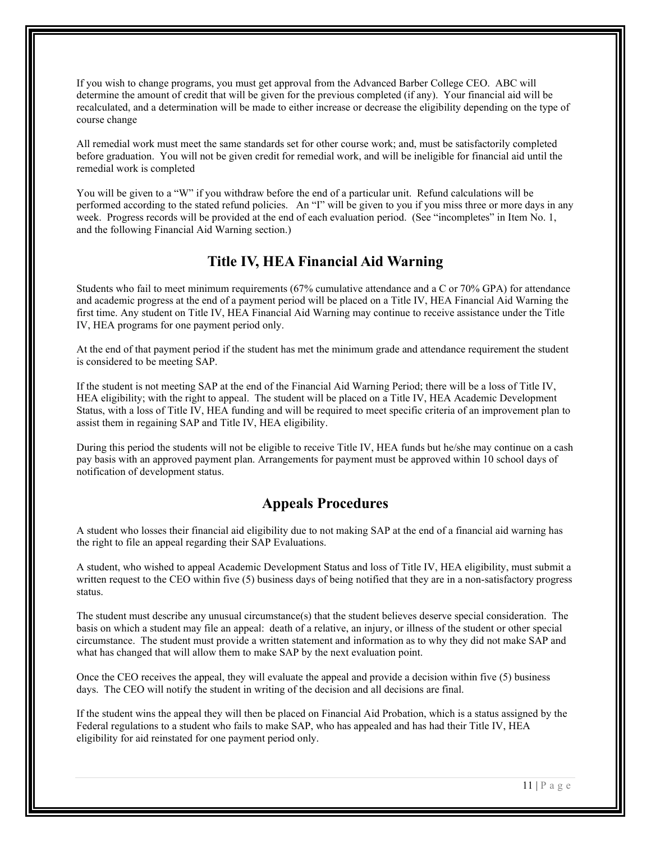If you wish to change programs, you must get approval from the Advanced Barber College CEO. ABC will determine the amount of credit that will be given for the previous completed (if any). Your financial aid will be recalculated, and a determination will be made to either increase or decrease the eligibility depending on the type of course change

All remedial work must meet the same standards set for other course work; and, must be satisfactorily completed before graduation. You will not be given credit for remedial work, and will be ineligible for financial aid until the remedial work is completed

You will be given to a "W" if you withdraw before the end of a particular unit. Refund calculations will be performed according to the stated refund policies. An "I" will be given to you if you miss three or more days in any week. Progress records will be provided at the end of each evaluation period. (See "incompletes" in Item No. 1, and the following Financial Aid Warning section.)

#### **Title IV, HEA Financial Aid Warning**

Students who fail to meet minimum requirements (67% cumulative attendance and a C or 70% GPA) for attendance and academic progress at the end of a payment period will be placed on a Title IV, HEA Financial Aid Warning the first time. Any student on Title IV, HEA Financial Aid Warning may continue to receive assistance under the Title IV, HEA programs for one payment period only.

At the end of that payment period if the student has met the minimum grade and attendance requirement the student is considered to be meeting SAP.

If the student is not meeting SAP at the end of the Financial Aid Warning Period; there will be a loss of Title IV, HEA eligibility; with the right to appeal. The student will be placed on a Title IV, HEA Academic Development Status, with a loss of Title IV, HEA funding and will be required to meet specific criteria of an improvement plan to assist them in regaining SAP and Title IV, HEA eligibility.

During this period the students will not be eligible to receive Title IV, HEA funds but he/she may continue on a cash pay basis with an approved payment plan. Arrangements for payment must be approved within 10 school days of notification of development status.

## **Appeals Procedures**

A student who losses their financial aid eligibility due to not making SAP at the end of a financial aid warning has the right to file an appeal regarding their SAP Evaluations.

A student, who wished to appeal Academic Development Status and loss of Title IV, HEA eligibility, must submit a written request to the CEO within five (5) business days of being notified that they are in a non-satisfactory progress status.

The student must describe any unusual circumstance(s) that the student believes deserve special consideration. The basis on which a student may file an appeal: death of a relative, an injury, or illness of the student or other special circumstance. The student must provide a written statement and information as to why they did not make SAP and what has changed that will allow them to make SAP by the next evaluation point.

Once the CEO receives the appeal, they will evaluate the appeal and provide a decision within five (5) business days. The CEO will notify the student in writing of the decision and all decisions are final.

If the student wins the appeal they will then be placed on Financial Aid Probation, which is a status assigned by the Federal regulations to a student who fails to make SAP, who has appealed and has had their Title IV, HEA eligibility for aid reinstated for one payment period only.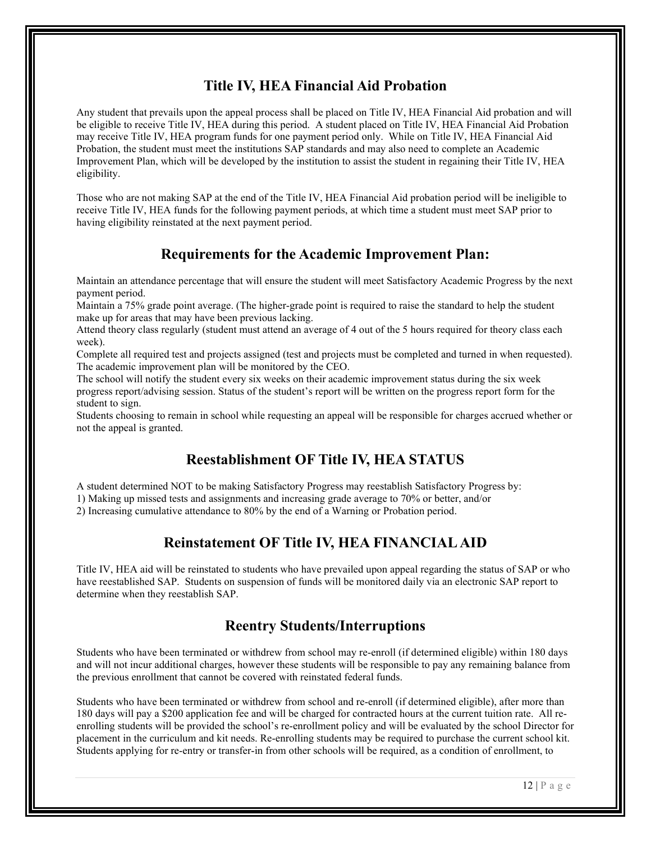## **Title IV, HEA Financial Aid Probation**

Any student that prevails upon the appeal process shall be placed on Title IV, HEA Financial Aid probation and will be eligible to receive Title IV, HEA during this period. A student placed on Title IV, HEA Financial Aid Probation may receive Title IV, HEA program funds for one payment period only. While on Title IV, HEA Financial Aid Probation, the student must meet the institutions SAP standards and may also need to complete an Academic Improvement Plan, which will be developed by the institution to assist the student in regaining their Title IV, HEA eligibility.

Those who are not making SAP at the end of the Title IV, HEA Financial Aid probation period will be ineligible to receive Title IV, HEA funds for the following payment periods, at which time a student must meet SAP prior to having eligibility reinstated at the next payment period.

## **Requirements for the Academic Improvement Plan:**

Maintain an attendance percentage that will ensure the student will meet Satisfactory Academic Progress by the next payment period.

Maintain a 75% grade point average. (The higher-grade point is required to raise the standard to help the student make up for areas that may have been previous lacking.

Attend theory class regularly (student must attend an average of 4 out of the 5 hours required for theory class each week).

Complete all required test and projects assigned (test and projects must be completed and turned in when requested). The academic improvement plan will be monitored by the CEO.

The school will notify the student every six weeks on their academic improvement status during the six week progress report/advising session. Status of the student's report will be written on the progress report form for the student to sign.

Students choosing to remain in school while requesting an appeal will be responsible for charges accrued whether or not the appeal is granted.

## **Reestablishment OF Title IV, HEA STATUS**

A student determined NOT to be making Satisfactory Progress may reestablish Satisfactory Progress by:

1) Making up missed tests and assignments and increasing grade average to 70% or better, and/or

2) Increasing cumulative attendance to 80% by the end of a Warning or Probation period.

## **Reinstatement OF Title IV, HEA FINANCIAL AID**

Title IV, HEA aid will be reinstated to students who have prevailed upon appeal regarding the status of SAP or who have reestablished SAP. Students on suspension of funds will be monitored daily via an electronic SAP report to determine when they reestablish SAP.

## **Reentry Students/Interruptions**

Students who have been terminated or withdrew from school may re-enroll (if determined eligible) within 180 days and will not incur additional charges, however these students will be responsible to pay any remaining balance from the previous enrollment that cannot be covered with reinstated federal funds.

Students who have been terminated or withdrew from school and re-enroll (if determined eligible), after more than 180 days will pay a \$200 application fee and will be charged for contracted hours at the current tuition rate. All reenrolling students will be provided the school's re-enrollment policy and will be evaluated by the school Director for placement in the curriculum and kit needs. Re-enrolling students may be required to purchase the current school kit. Students applying for re-entry or transfer-in from other schools will be required, as a condition of enrollment, to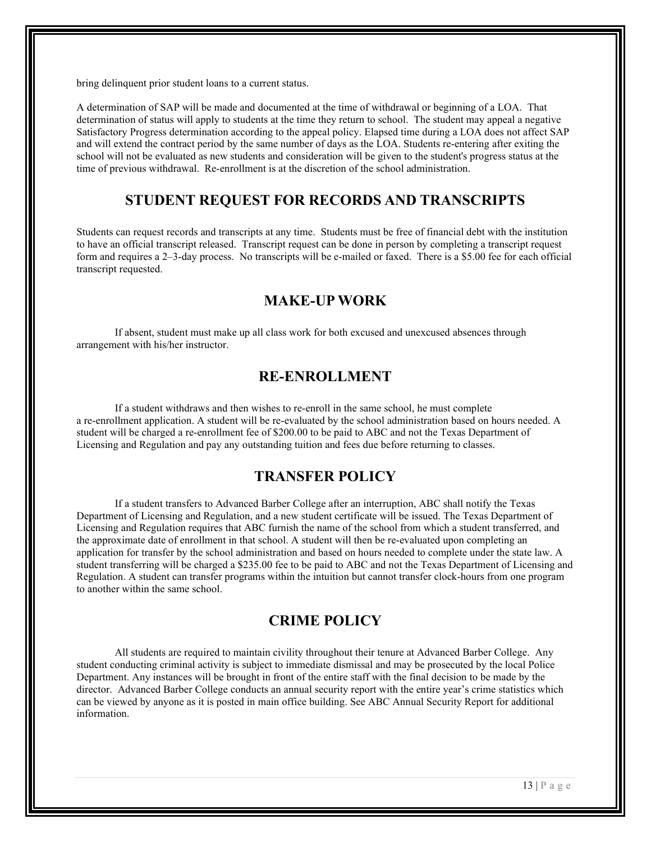bring delinquent prior student loans to a current status.

A determination of SAP will be made and documented at the time of withdrawal or beginning of a LOA. That determination of status will apply to students at the time they return to school. The student may appeal a negative Satisfactory Progress determination according to the appeal policy. Elapsed time during a LOA does not affect SAP and will extend the contract period by the same number of days as the LOA. Students re-entering after exiting the school will not be evaluated as new students and consideration will be given to the student's progress status at the time of previous withdrawal. Re-enrollment is at the discretion of the school administration.

#### **STUDENT REQUEST FOR RECORDS AND TRANSCRIPTS**

Students can request records and transcripts at any time. Students must be free of financial debt with the institution to have an official transcript released. Transcript request can be done in person by completing a transcript request form and requires a 2–3-day process. No transcripts will be e-mailed or faxed. There is a \$5.00 fee for each official transcript requested.

## **MAKE-UP WORK**

If absent, student must make up all class work for both excused and unexcused absences through arrangement with his/her instructor.

## **RE-ENROLLMENT**

If a student withdraws and then wishes to re-enroll in the same school, he must complete a re-enrollment application. A student will be re-evaluated by the school administration based on hours needed. A student will be charged a re-enrollment fee of \$200.00 to be paid to ABC and not the Texas Department of Licensing and Regulation and pay any outstanding tuition and fees due before returning to classes.

#### **TRANSFER POLICY**

If a student transfers to Advanced Barber College after an interruption, ABC shall notify the Texas Department of Licensing and Regulation, and a new student certificate will be issued. The Texas Department of Licensing and Regulation requires that ABC furnish the name of the school from which a student transferred, and the approximate date of enrollment in that school. A student will then be re-evaluated upon completing an application for transfer by the school administration and based on hours needed to complete under the state law. A student transferring will be charged a \$235.00 fee to be paid to ABC and not the Texas Department of Licensing and Regulation. A student can transfer programs within the intuition but cannot transfer clock-hours from one program to another within the same school.

#### **CRIME POLICY**

All students are required to maintain civility throughout their tenure at Advanced Barber College. Any student conducting criminal activity is subject to immediate dismissal and may be prosecuted by the local Police Department. Any instances will be brought in front of the entire staff with the final decision to be made by the director. Advanced Barber College conducts an annual security report with the entire year's crime statistics which can be viewed by anyone as it is posted in main office building. See ABC Annual Security Report for additional information.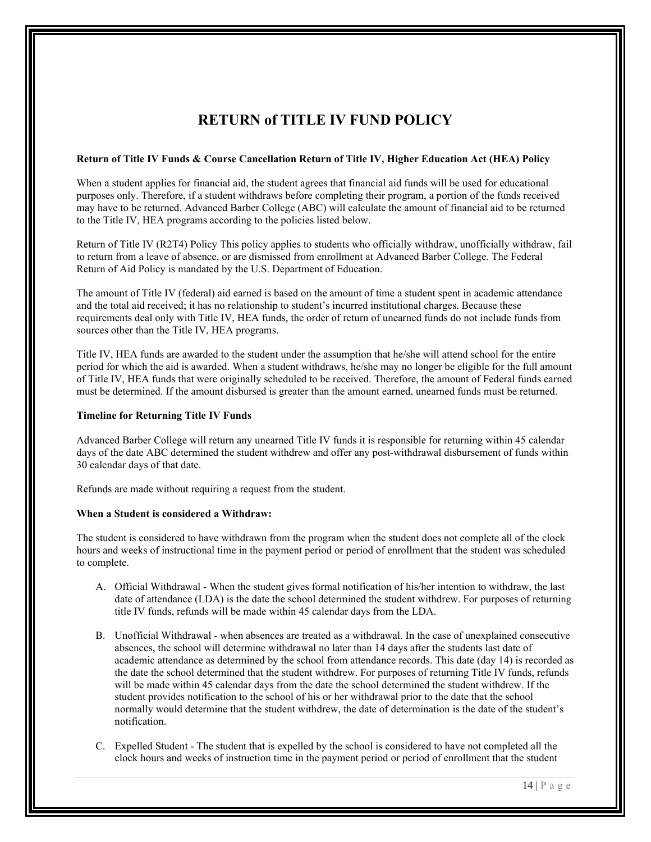## **RETURN of TITLE IV FUND POLICY**

#### **Return of Title IV Funds & Course Cancellation Return of Title IV, Higher Education Act (HEA) Policy**

When a student applies for financial aid, the student agrees that financial aid funds will be used for educational purposes only. Therefore, if a student withdraws before completing their program, a portion of the funds received may have to be returned. Advanced Barber College (ABC) will calculate the amount of financial aid to be returned to the Title IV, HEA programs according to the policies listed below.

Return of Title IV (R2T4) Policy This policy applies to students who officially withdraw, unofficially withdraw, fail to return from a leave of absence, or are dismissed from enrollment at Advanced Barber College. The Federal Return of Aid Policy is mandated by the U.S. Department of Education.

The amount of Title IV (federal) aid earned is based on the amount of time a student spent in academic attendance and the total aid received; it has no relationship to student's incurred institutional charges. Because these requirements deal only with Title IV, HEA funds, the order of return of unearned funds do not include funds from sources other than the Title IV, HEA programs.

Title IV, HEA funds are awarded to the student under the assumption that he/she will attend school for the entire period for which the aid is awarded. When a student withdraws, he/she may no longer be eligible for the full amount of Title IV, HEA funds that were originally scheduled to be received. Therefore, the amount of Federal funds earned must be determined. If the amount disbursed is greater than the amount earned, unearned funds must be returned.

#### **Timeline for Returning Title IV Funds**

Advanced Barber College will return any unearned Title IV funds it is responsible for returning within 45 calendar days of the date ABC determined the student withdrew and offer any post-withdrawal disbursement of funds within 30 calendar days of that date.

Refunds are made without requiring a request from the student.

#### **When a Student is considered a Withdraw:**

The student is considered to have withdrawn from the program when the student does not complete all of the clock hours and weeks of instructional time in the payment period or period of enrollment that the student was scheduled to complete.

- A. Official Withdrawal When the student gives formal notification of his/her intention to withdraw, the last date of attendance (LDA) is the date the school determined the student withdrew. For purposes of returning title IV funds, refunds will be made within 45 calendar days from the LDA.
- B. Unofficial Withdrawal when absences are treated as a withdrawal. In the case of unexplained consecutive absences, the school will determine withdrawal no later than 14 days after the students last date of academic attendance as determined by the school from attendance records. This date (day 14) is recorded as the date the school determined that the student withdrew. For purposes of returning Title IV funds, refunds will be made within 45 calendar days from the date the school determined the student withdrew. If the student provides notification to the school of his or her withdrawal prior to the date that the school normally would determine that the student withdrew, the date of determination is the date of the student's notification.
- C. Expelled Student The student that is expelled by the school is considered to have not completed all the clock hours and weeks of instruction time in the payment period or period of enrollment that the student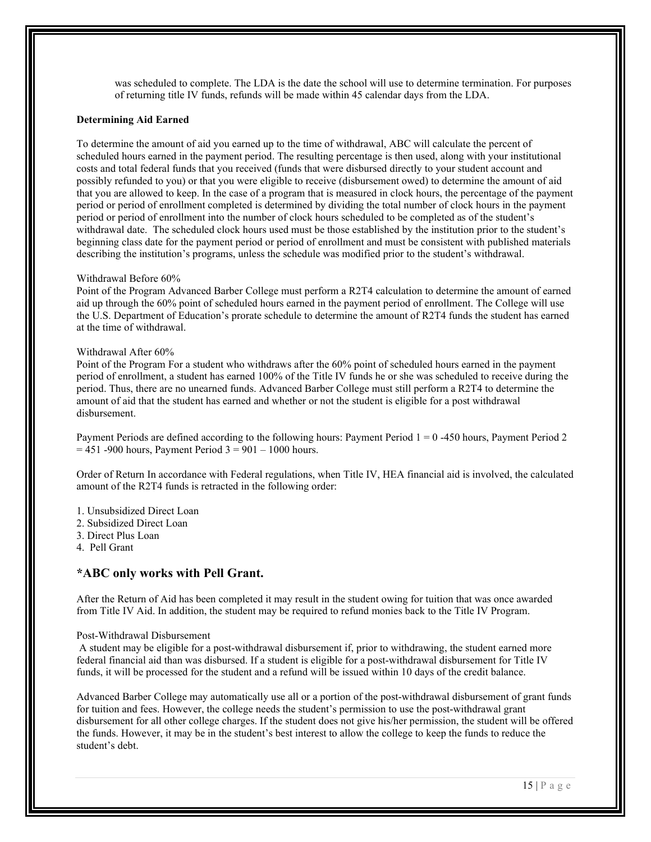was scheduled to complete. The LDA is the date the school will use to determine termination. For purposes of returning title IV funds, refunds will be made within 45 calendar days from the LDA.

#### **Determining Aid Earned**

To determine the amount of aid you earned up to the time of withdrawal, ABC will calculate the percent of scheduled hours earned in the payment period. The resulting percentage is then used, along with your institutional costs and total federal funds that you received (funds that were disbursed directly to your student account and possibly refunded to you) or that you were eligible to receive (disbursement owed) to determine the amount of aid that you are allowed to keep. In the case of a program that is measured in clock hours, the percentage of the payment period or period of enrollment completed is determined by dividing the total number of clock hours in the payment period or period of enrollment into the number of clock hours scheduled to be completed as of the student's withdrawal date. The scheduled clock hours used must be those established by the institution prior to the student's beginning class date for the payment period or period of enrollment and must be consistent with published materials describing the institution's programs, unless the schedule was modified prior to the student's withdrawal.

#### Withdrawal Before 60%

Point of the Program Advanced Barber College must perform a R2T4 calculation to determine the amount of earned aid up through the 60% point of scheduled hours earned in the payment period of enrollment. The College will use the U.S. Department of Education's prorate schedule to determine the amount of R2T4 funds the student has earned at the time of withdrawal.

#### Withdrawal After 60%

Point of the Program For a student who withdraws after the 60% point of scheduled hours earned in the payment period of enrollment, a student has earned 100% of the Title IV funds he or she was scheduled to receive during the period. Thus, there are no unearned funds. Advanced Barber College must still perform a R2T4 to determine the amount of aid that the student has earned and whether or not the student is eligible for a post withdrawal disbursement.

Payment Periods are defined according to the following hours: Payment Period 1 = 0 -450 hours, Payment Period 2  $= 451$  -900 hours, Payment Period  $3 = 901 - 1000$  hours.

Order of Return In accordance with Federal regulations, when Title IV, HEA financial aid is involved, the calculated amount of the R2T4 funds is retracted in the following order:

- 1. Unsubsidized Direct Loan
- 2. Subsidized Direct Loan
- 3. Direct Plus Loan
- 4. Pell Grant

#### **\*ABC only works with Pell Grant.**

After the Return of Aid has been completed it may result in the student owing for tuition that was once awarded from Title IV Aid. In addition, the student may be required to refund monies back to the Title IV Program.

#### Post-Withdrawal Disbursement

A student may be eligible for a post-withdrawal disbursement if, prior to withdrawing, the student earned more federal financial aid than was disbursed. If a student is eligible for a post-withdrawal disbursement for Title IV funds, it will be processed for the student and a refund will be issued within 10 days of the credit balance.

Advanced Barber College may automatically use all or a portion of the post-withdrawal disbursement of grant funds for tuition and fees. However, the college needs the student's permission to use the post-withdrawal grant disbursement for all other college charges. If the student does not give his/her permission, the student will be offered the funds. However, it may be in the student's best interest to allow the college to keep the funds to reduce the student's debt.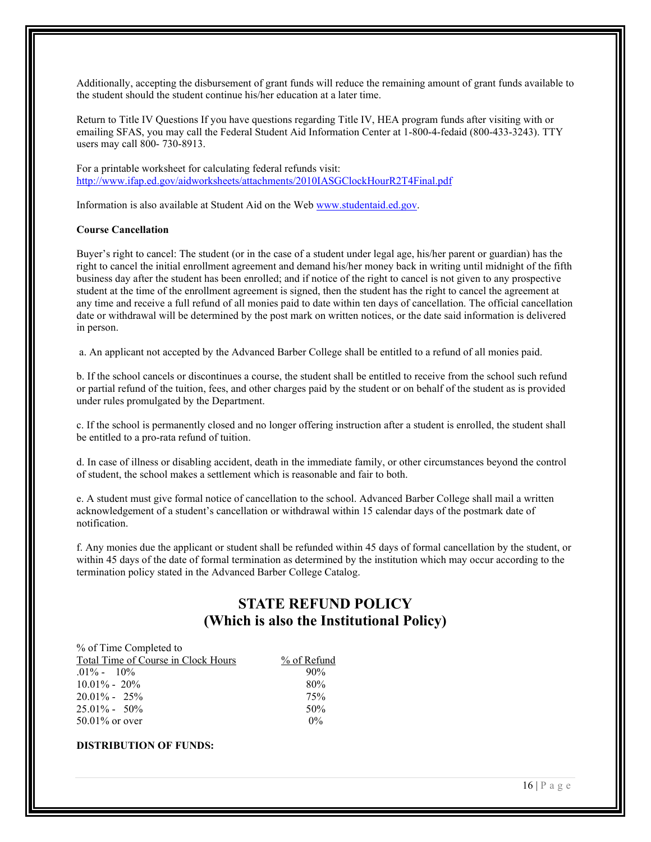Additionally, accepting the disbursement of grant funds will reduce the remaining amount of grant funds available to the student should the student continue his/her education at a later time.

Return to Title IV Questions If you have questions regarding Title IV, HEA program funds after visiting with or emailing SFAS, you may call the Federal Student Aid Information Center at 1-800-4-fedaid (800-433-3243). TTY users may call 800- 730-8913.

For a printable worksheet for calculating federal refunds visit: [http://www.ifap.ed.gov/aidworksheets/attachments/2010IASGClockHourR2T4Final.pdf](about:blank) 

Information is also available at Student Aid on the We[b www.studentaid.ed.gov.](about:blank)

#### **Course Cancellation**

Buyer's right to cancel: The student (or in the case of a student under legal age, his/her parent or guardian) has the right to cancel the initial enrollment agreement and demand his/her money back in writing until midnight of the fifth business day after the student has been enrolled; and if notice of the right to cancel is not given to any prospective student at the time of the enrollment agreement is signed, then the student has the right to cancel the agreement at any time and receive a full refund of all monies paid to date within ten days of cancellation. The official cancellation date or withdrawal will be determined by the post mark on written notices, or the date said information is delivered in person.

a. An applicant not accepted by the Advanced Barber College shall be entitled to a refund of all monies paid.

b. If the school cancels or discontinues a course, the student shall be entitled to receive from the school such refund or partial refund of the tuition, fees, and other charges paid by the student or on behalf of the student as is provided under rules promulgated by the Department.

c. If the school is permanently closed and no longer offering instruction after a student is enrolled, the student shall be entitled to a pro-rata refund of tuition.

d. In case of illness or disabling accident, death in the immediate family, or other circumstances beyond the control of student, the school makes a settlement which is reasonable and fair to both.

e. A student must give formal notice of cancellation to the school. Advanced Barber College shall mail a written acknowledgement of a student's cancellation or withdrawal within 15 calendar days of the postmark date of notification.

f. Any monies due the applicant or student shall be refunded within 45 days of formal cancellation by the student, or within 45 days of the date of formal termination as determined by the institution which may occur according to the termination policy stated in the Advanced Barber College Catalog.

## **STATE REFUND POLICY (Which is also the Institutional Policy)**

 $6$  of Refund

| % of Time Completed to              |             |
|-------------------------------------|-------------|
| Total Time of Course in Clock Hours | $%$ of Refu |
| $.01\% - 10\%$                      | 90%         |
| $10.01\% - 20\%$                    | 80%         |
| $20.01\% - 25\%$                    | 75%         |
| $25.01\% - 50\%$                    | 50%         |
| $50.01\%$ or over                   | $0\%$       |

#### **DISTRIBUTION OF FUNDS:**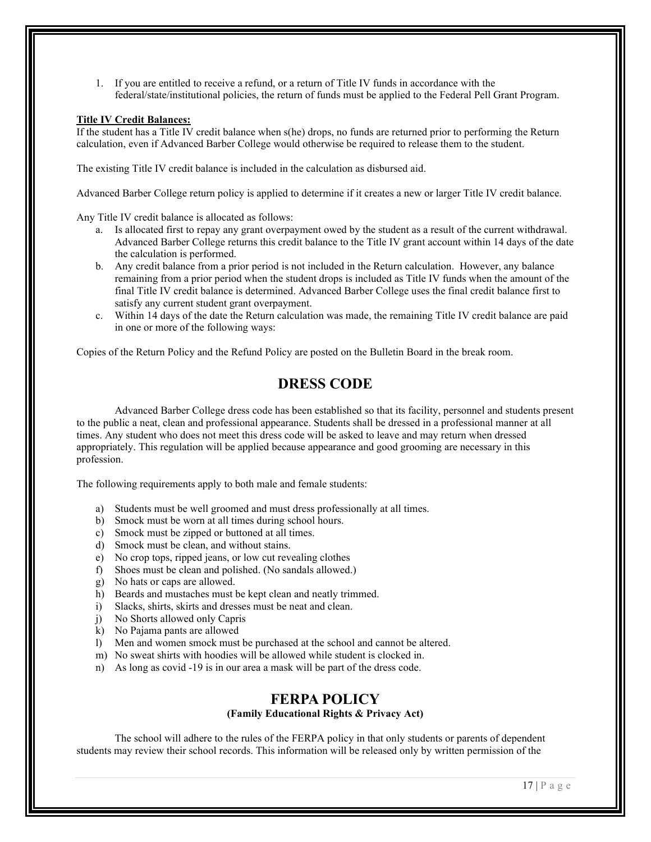1. If you are entitled to receive a refund, or a return of Title IV funds in accordance with the federal/state/institutional policies, the return of funds must be applied to the Federal Pell Grant Program.

#### **Title IV Credit Balances:**

If the student has a Title IV credit balance when s(he) drops, no funds are returned prior to performing the Return calculation, even if Advanced Barber College would otherwise be required to release them to the student.

The existing Title IV credit balance is included in the calculation as disbursed aid.

Advanced Barber College return policy is applied to determine if it creates a new or larger Title IV credit balance.

Any Title IV credit balance is allocated as follows:

- a. Is allocated first to repay any grant overpayment owed by the student as a result of the current withdrawal. Advanced Barber College returns this credit balance to the Title IV grant account within 14 days of the date the calculation is performed.
- b. Any credit balance from a prior period is not included in the Return calculation. However, any balance remaining from a prior period when the student drops is included as Title IV funds when the amount of the final Title IV credit balance is determined. Advanced Barber College uses the final credit balance first to satisfy any current student grant overpayment.
- c. Within 14 days of the date the Return calculation was made, the remaining Title IV credit balance are paid in one or more of the following ways:

Copies of the Return Policy and the Refund Policy are posted on the Bulletin Board in the break room.

## **DRESS CODE**

Advanced Barber College dress code has been established so that its facility, personnel and students present to the public a neat, clean and professional appearance. Students shall be dressed in a professional manner at all times. Any student who does not meet this dress code will be asked to leave and may return when dressed appropriately. This regulation will be applied because appearance and good grooming are necessary in this profession.

The following requirements apply to both male and female students:

- a) Students must be well groomed and must dress professionally at all times.
- b) Smock must be worn at all times during school hours.
- c) Smock must be zipped or buttoned at all times.
- d) Smock must be clean, and without stains.
- e) No crop tops, ripped jeans, or low cut revealing clothes
- f) Shoes must be clean and polished. (No sandals allowed.)
- g) No hats or caps are allowed.
- h) Beards and mustaches must be kept clean and neatly trimmed.
- i) Slacks, shirts, skirts and dresses must be neat and clean.
- j) No Shorts allowed only Capris
- k) No Pajama pants are allowed
- l) Men and women smock must be purchased at the school and cannot be altered.
- m) No sweat shirts with hoodies will be allowed while student is clocked in.
- n) As long as covid -19 is in our area a mask will be part of the dress code.

#### **FERPA POLICY**

#### **(Family Educational Rights & Privacy Act)**

The school will adhere to the rules of the FERPA policy in that only students or parents of dependent students may review their school records. This information will be released only by written permission of the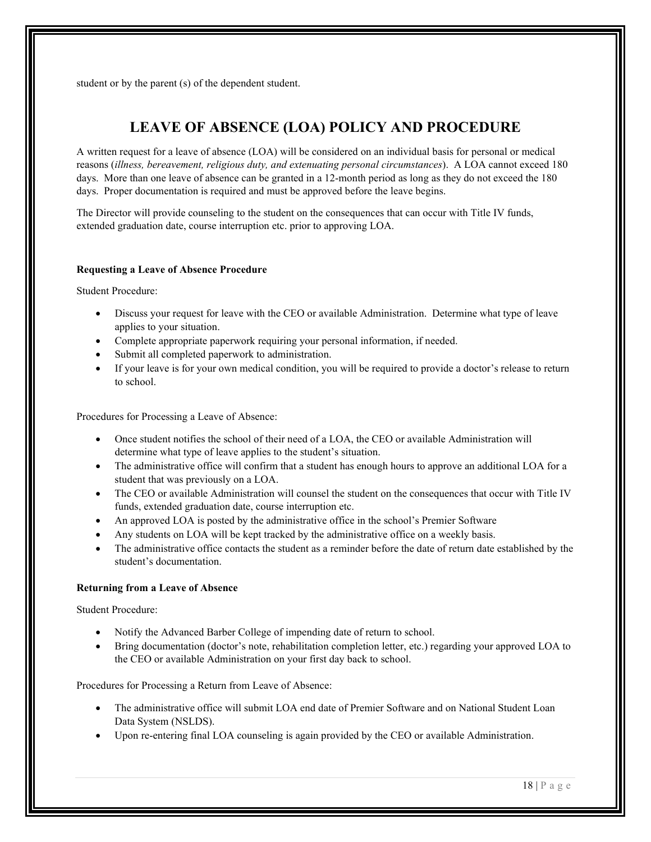student or by the parent (s) of the dependent student.

## **LEAVE OF ABSENCE (LOA) POLICY AND PROCEDURE**

A written request for a leave of absence (LOA) will be considered on an individual basis for personal or medical reasons (*illness, bereavement, religious duty, and extenuating personal circumstances*). A LOA cannot exceed 180 days. More than one leave of absence can be granted in a 12-month period as long as they do not exceed the 180 days. Proper documentation is required and must be approved before the leave begins.

The Director will provide counseling to the student on the consequences that can occur with Title IV funds, extended graduation date, course interruption etc. prior to approving LOA.

#### **Requesting a Leave of Absence Procedure**

Student Procedure:

- Discuss your request for leave with the CEO or available Administration. Determine what type of leave applies to your situation.
- Complete appropriate paperwork requiring your personal information, if needed.
- Submit all completed paperwork to administration.
- If your leave is for your own medical condition, you will be required to provide a doctor's release to return to school.

Procedures for Processing a Leave of Absence:

- Once student notifies the school of their need of a LOA, the CEO or available Administration will determine what type of leave applies to the student's situation.
- The administrative office will confirm that a student has enough hours to approve an additional LOA for a student that was previously on a LOA.
- The CEO or available Administration will counsel the student on the consequences that occur with Title IV funds, extended graduation date, course interruption etc.
- An approved LOA is posted by the administrative office in the school's Premier Software
- Any students on LOA will be kept tracked by the administrative office on a weekly basis.
- The administrative office contacts the student as a reminder before the date of return date established by the student's documentation.

#### **Returning from a Leave of Absence**

Student Procedure:

- Notify the Advanced Barber College of impending date of return to school.
- Bring documentation (doctor's note, rehabilitation completion letter, etc.) regarding your approved LOA to the CEO or available Administration on your first day back to school.

Procedures for Processing a Return from Leave of Absence:

- The administrative office will submit LOA end date of Premier Software and on National Student Loan Data System (NSLDS).
- Upon re-entering final LOA counseling is again provided by the CEO or available Administration.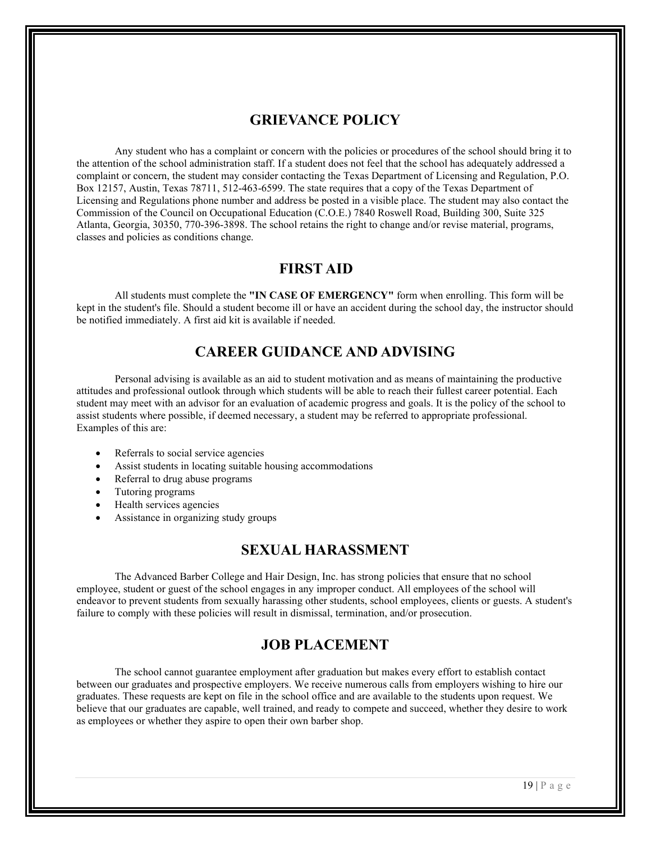#### **GRIEVANCE POLICY**

Any student who has a complaint or concern with the policies or procedures of the school should bring it to the attention of the school administration staff. If a student does not feel that the school has adequately addressed a complaint or concern, the student may consider contacting the Texas Department of Licensing and Regulation, P.O. Box 12157, Austin, Texas 78711, 512-463-6599. The state requires that a copy of the Texas Department of Licensing and Regulations phone number and address be posted in a visible place. The student may also contact the Commission of the Council on Occupational Education (C.O.E.) 7840 Roswell Road, Building 300, Suite 325 Atlanta, Georgia, 30350, 770-396-3898. The school retains the right to change and/or revise material, programs, classes and policies as conditions change.

#### **FIRST AID**

All students must complete the **"IN CASE OF EMERGENCY"** form when enrolling. This form will be kept in the student's file. Should a student become ill or have an accident during the school day, the instructor should be notified immediately. A first aid kit is available if needed.

## **CAREER GUIDANCE AND ADVISING**

Personal advising is available as an aid to student motivation and as means of maintaining the productive attitudes and professional outlook through which students will be able to reach their fullest career potential. Each student may meet with an advisor for an evaluation of academic progress and goals. It is the policy of the school to assist students where possible, if deemed necessary, a student may be referred to appropriate professional. Examples of this are:

- Referrals to social service agencies
- Assist students in locating suitable housing accommodations
- Referral to drug abuse programs
- Tutoring programs
- Health services agencies
- Assistance in organizing study groups

#### **SEXUAL HARASSMENT**

The Advanced Barber College and Hair Design, Inc. has strong policies that ensure that no school employee, student or guest of the school engages in any improper conduct. All employees of the school will endeavor to prevent students from sexually harassing other students, school employees, clients or guests. A student's failure to comply with these policies will result in dismissal, termination, and/or prosecution.

#### **JOB PLACEMENT**

The school cannot guarantee employment after graduation but makes every effort to establish contact between our graduates and prospective employers. We receive numerous calls from employers wishing to hire our graduates. These requests are kept on file in the school office and are available to the students upon request. We believe that our graduates are capable, well trained, and ready to compete and succeed, whether they desire to work as employees or whether they aspire to open their own barber shop.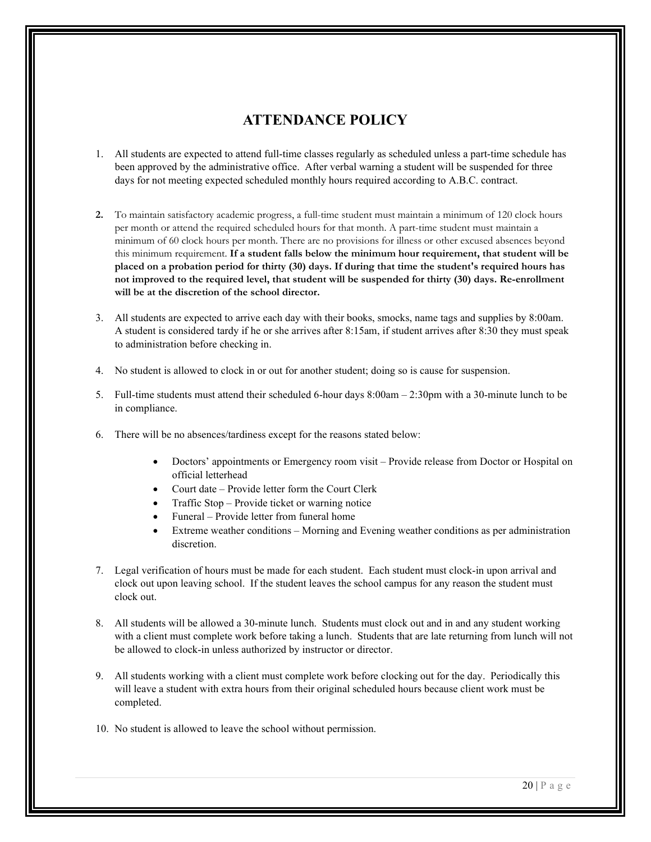## **ATTENDANCE POLICY**

- 1. All students are expected to attend full-time classes regularly as scheduled unless a part-time schedule has been approved by the administrative office. After verbal warning a student will be suspended for three days for not meeting expected scheduled monthly hours required according to A.B.C. contract.
- **2.** To maintain satisfactory academic progress, a full-time student must maintain a minimum of 120 clock hours per month or attend the required scheduled hours for that month. A part-time student must maintain a minimum of 60 clock hours per month. There are no provisions for illness or other excused absences beyond this minimum requirement. **If a student falls below the minimum hour requirement, that student will be placed on a probation period for thirty (30) days. If during that time the student's required hours has not improved to the required level, that student will be suspended for thirty (30) days. Re-enrollment will be at the discretion of the school director.**
- 3. All students are expected to arrive each day with their books, smocks, name tags and supplies by 8:00am. A student is considered tardy if he or she arrives after 8:15am, if student arrives after 8:30 they must speak to administration before checking in.
- 4. No student is allowed to clock in or out for another student; doing so is cause for suspension.
- 5. Full-time students must attend their scheduled 6-hour days 8:00am 2:30pm with a 30-minute lunch to be in compliance.
- 6. There will be no absences/tardiness except for the reasons stated below:
	- Doctors' appointments or Emergency room visit Provide release from Doctor or Hospital on official letterhead
	- Court date Provide letter form the Court Clerk
	- Traffic Stop Provide ticket or warning notice
	- Funeral Provide letter from funeral home
	- Extreme weather conditions Morning and Evening weather conditions as per administration discretion.
- 7. Legal verification of hours must be made for each student. Each student must clock-in upon arrival and clock out upon leaving school. If the student leaves the school campus for any reason the student must clock out.
- 8. All students will be allowed a 30-minute lunch. Students must clock out and in and any student working with a client must complete work before taking a lunch. Students that are late returning from lunch will not be allowed to clock-in unless authorized by instructor or director.
- 9. All students working with a client must complete work before clocking out for the day. Periodically this will leave a student with extra hours from their original scheduled hours because client work must be completed.
- 10. No student is allowed to leave the school without permission.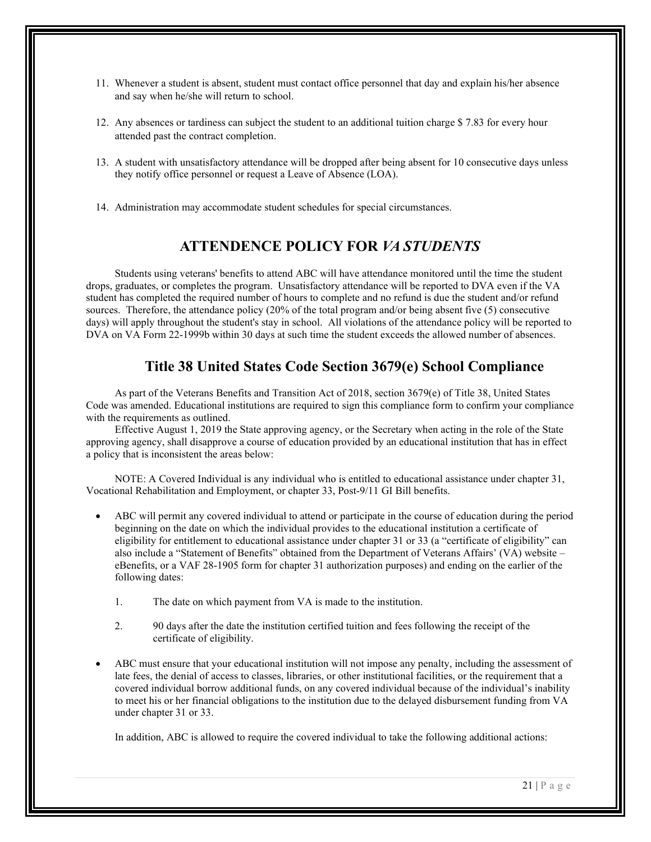- 11. Whenever a student is absent, student must contact office personnel that day and explain his/her absence and say when he/she will return to school.
- 12. Any absences or tardiness can subject the student to an additional tuition charge \$ 7.83 for every hour attended past the contract completion.
- 13. A student with unsatisfactory attendance will be dropped after being absent for 10 consecutive days unless they notify office personnel or request a Leave of Absence (LOA).
- 14. Administration may accommodate student schedules for special circumstances.

## **ATTENDENCE POLICY FOR** *VA STUDENTS*

Students using veterans' benefits to attend ABC will have attendance monitored until the time the student drops, graduates, or completes the program. Unsatisfactory attendance will be reported to DVA even if the VA student has completed the required number of hours to complete and no refund is due the student and/or refund sources. Therefore, the attendance policy (20% of the total program and/or being absent five (5) consecutive days) will apply throughout the student's stay in school. All violations of the attendance policy will be reported to DVA on VA Form 22-1999b within 30 days at such time the student exceeds the allowed number of absences.

## **Title 38 United States Code Section 3679(e) School Compliance**

As part of the Veterans Benefits and Transition Act of 2018, section 3679(e) of Title 38, United States Code was amended. Educational institutions are required to sign this compliance form to confirm your compliance with the requirements as outlined.

Effective August 1, 2019 the State approving agency, or the Secretary when acting in the role of the State approving agency, shall disapprove a course of education provided by an educational institution that has in effect a policy that is inconsistent the areas below:

NOTE: A Covered Individual is any individual who is entitled to educational assistance under chapter 31, Vocational Rehabilitation and Employment, or chapter 33, Post-9/11 GI Bill benefits.

- ABC will permit any covered individual to attend or participate in the course of education during the period beginning on the date on which the individual provides to the educational institution a certificate of eligibility for entitlement to educational assistance under chapter 31 or 33 (a "certificate of eligibility" can also include a "Statement of Benefits" obtained from the Department of Veterans Affairs' (VA) website – eBenefits, or a VAF 28-1905 form for chapter 31 authorization purposes) and ending on the earlier of the following dates:
	- 1. The date on which payment from VA is made to the institution.
	- 2. 90 days after the date the institution certified tuition and fees following the receipt of the certificate of eligibility.
- ABC must ensure that your educational institution will not impose any penalty, including the assessment of late fees, the denial of access to classes, libraries, or other institutional facilities, or the requirement that a covered individual borrow additional funds, on any covered individual because of the individual's inability to meet his or her financial obligations to the institution due to the delayed disbursement funding from VA under chapter 31 or 33.

In addition, ABC is allowed to require the covered individual to take the following additional actions: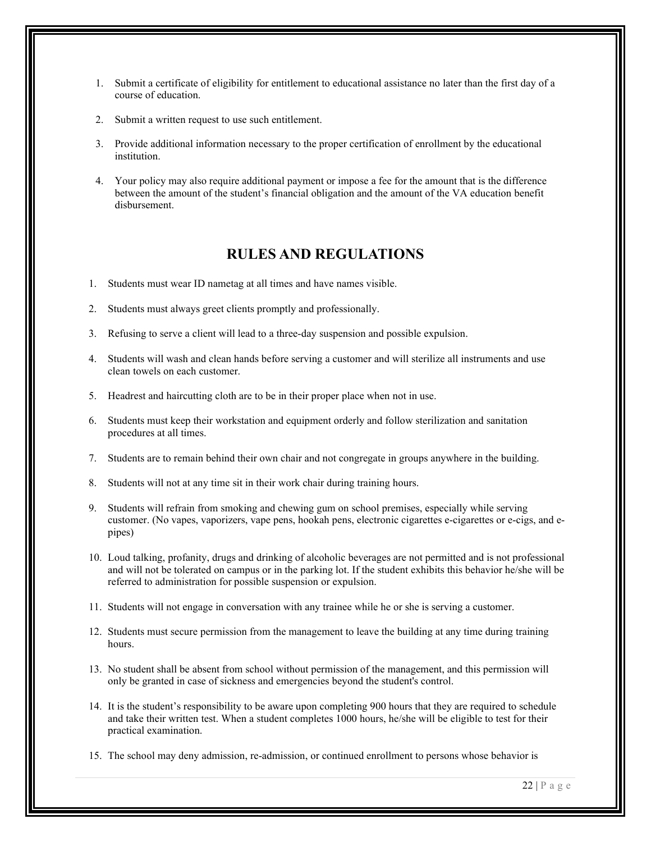- 1. Submit a certificate of eligibility for entitlement to educational assistance no later than the first day of a course of education.
- 2. Submit a written request to use such entitlement.
- 3. Provide additional information necessary to the proper certification of enrollment by the educational institution.
- 4. Your policy may also require additional payment or impose a fee for the amount that is the difference between the amount of the student's financial obligation and the amount of the VA education benefit disbursement.

#### **RULES AND REGULATIONS**

- 1. Students must wear ID nametag at all times and have names visible.
- 2. Students must always greet clients promptly and professionally.
- 3. Refusing to serve a client will lead to a three-day suspension and possible expulsion.
- 4. Students will wash and clean hands before serving a customer and will sterilize all instruments and use clean towels on each customer.
- 5. Headrest and haircutting cloth are to be in their proper place when not in use.
- 6. Students must keep their workstation and equipment orderly and follow sterilization and sanitation procedures at all times.
- 7. Students are to remain behind their own chair and not congregate in groups anywhere in the building.
- 8. Students will not at any time sit in their work chair during training hours.
- 9. Students will refrain from smoking and chewing gum on school premises, especially while serving customer. (No vapes, vaporizers, vape pens, hookah pens, electronic cigarettes e-cigarettes or e-cigs, and epipes)
- 10. Loud talking, profanity, drugs and drinking of alcoholic beverages are not permitted and is not professional and will not be tolerated on campus or in the parking lot. If the student exhibits this behavior he/she will be referred to administration for possible suspension or expulsion.
- 11. Students will not engage in conversation with any trainee while he or she is serving a customer.
- 12. Students must secure permission from the management to leave the building at any time during training hours.
- 13. No student shall be absent from school without permission of the management, and this permission will only be granted in case of sickness and emergencies beyond the student's control.
- 14. It is the student's responsibility to be aware upon completing 900 hours that they are required to schedule and take their written test. When a student completes 1000 hours, he/she will be eligible to test for their practical examination.
- 15. The school may deny admission, re-admission, or continued enrollment to persons whose behavior is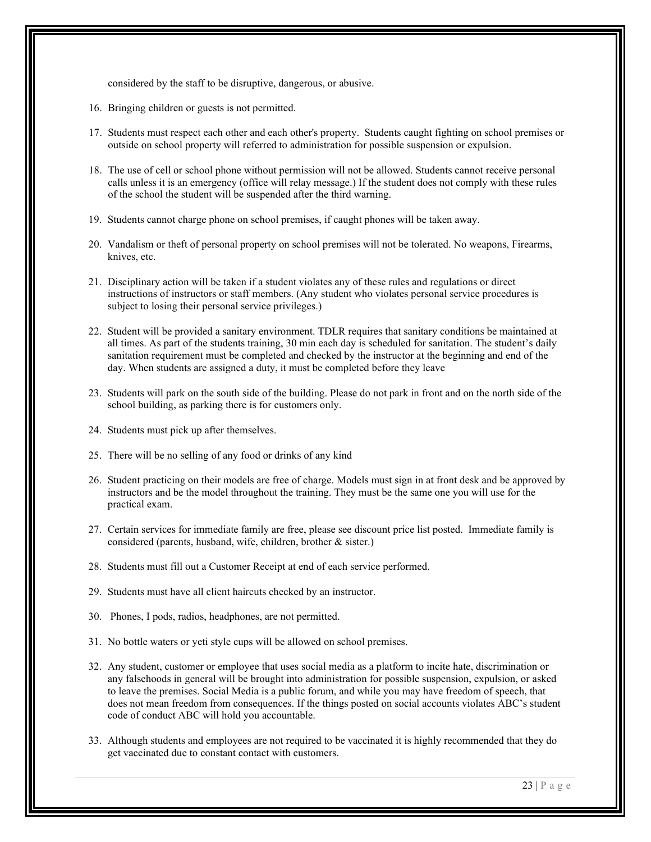considered by the staff to be disruptive, dangerous, or abusive.

- 16. Bringing children or guests is not permitted.
- 17. Students must respect each other and each other's property. Students caught fighting on school premises or outside on school property will referred to administration for possible suspension or expulsion.
- 18. The use of cell or school phone without permission will not be allowed. Students cannot receive personal calls unless it is an emergency (office will relay message.) If the student does not comply with these rules of the school the student will be suspended after the third warning.
- 19. Students cannot charge phone on school premises, if caught phones will be taken away.
- 20. Vandalism or theft of personal property on school premises will not be tolerated. No weapons, Firearms, knives, etc.
- 21. Disciplinary action will be taken if a student violates any of these rules and regulations or direct instructions of instructors or staff members. (Any student who violates personal service procedures is subject to losing their personal service privileges.)
- 22. Student will be provided a sanitary environment. TDLR requires that sanitary conditions be maintained at all times. As part of the students training, 30 min each day is scheduled for sanitation. The student's daily sanitation requirement must be completed and checked by the instructor at the beginning and end of the day. When students are assigned a duty, it must be completed before they leave
- 23. Students will park on the south side of the building. Please do not park in front and on the north side of the school building, as parking there is for customers only.
- 24. Students must pick up after themselves.
- 25. There will be no selling of any food or drinks of any kind
- 26. Student practicing on their models are free of charge. Models must sign in at front desk and be approved by instructors and be the model throughout the training. They must be the same one you will use for the practical exam.
- 27. Certain services for immediate family are free, please see discount price list posted. Immediate family is considered (parents, husband, wife, children, brother & sister.)
- 28. Students must fill out a Customer Receipt at end of each service performed.
- 29. Students must have all client haircuts checked by an instructor.
- 30. Phones, I pods, radios, headphones, are not permitted.
- 31. No bottle waters or yeti style cups will be allowed on school premises.
- 32. Any student, customer or employee that uses social media as a platform to incite hate, discrimination or any falsehoods in general will be brought into administration for possible suspension, expulsion, or asked to leave the premises. Social Media is a public forum, and while you may have freedom of speech, that does not mean freedom from consequences. If the things posted on social accounts violates ABC's student code of conduct ABC will hold you accountable.
- 33. Although students and employees are not required to be vaccinated it is highly recommended that they do get vaccinated due to constant contact with customers.